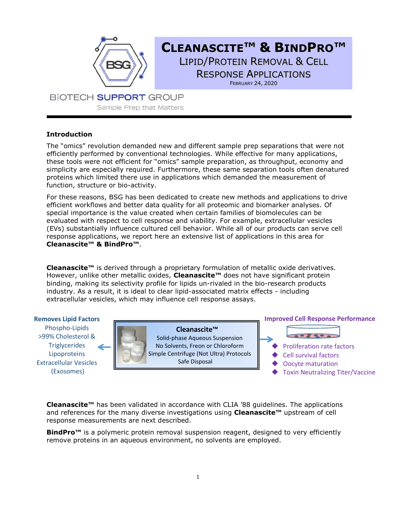

# **CLEANASCITE™ & BINDPRO™** LIPID/PROTEIN REMOVAL & CELL RESPONSE APPLICATIONS FEBRUARY 24, 2020

**BIOTECH SUPPORT GROUP** Sample Prep that Matters

## **Introduction**

The "omics" revolution demanded new and different sample prep separations that were not efficiently performed by conventional technologies. While effective for many applications, these tools were not efficient for "omics" sample preparation, as throughput, economy and simplicity are especially required. Furthermore, these same separation tools often denatured proteins which limited there use in applications which demanded the measurement of function, structure or bio-activity.

For these reasons, BSG has been dedicated to create new methods and applications to drive efficient workflows and better data quality for all proteomic and biomarker analyses. Of special importance is the value created when certain families of biomolecules can be evaluated with respect to cell response and viability. For example, extracellular vesicles (EVs) substantially influence cultured cell behavior. While all of our products can serve cell response applications, we report here an extensive list of applications in this area for **Cleanascite™ & BindPro™**.

**Cleanascite™** is derived through a proprietary formulation of metallic oxide derivatives. However, unlike other metallic oxides, **Cleanascite™** does not have significant protein binding, making its selectivity profile for lipids un-rivaled in the bio-research products industry. As a result, it is ideal to clear lipid-associated matrix effects - including extracellular vesicles, which may influence cell response assays.

### **Removes Lipid Factors**

Phospho-Lipids >99% Cholesterol & **Triglycerides** Lipoproteins Extracellular Vesicles (Exosomes)

 **Cleanascite™** Solid-phase Aqueous Suspension No Solvents, Freon or Chloroform Simple Centrifuge (Not Ultra) Protocols Safe Disposal

### **Improved Cell Response Performance**



- Proliferation rate factors
- Cell survival factors
- Oocyte maturation
- Toxin Neutralizing Titer/Vaccine

**Cleanascite™** has been validated in accordance with CLIA '88 guidelines. The applications and references for the many diverse investigations using **Cleanascite™** upstream of cell response measurements are next described.

**BindPro™** is a polymeric protein removal suspension reagent, designed to very efficiently remove proteins in an aqueous environment, no solvents are employed.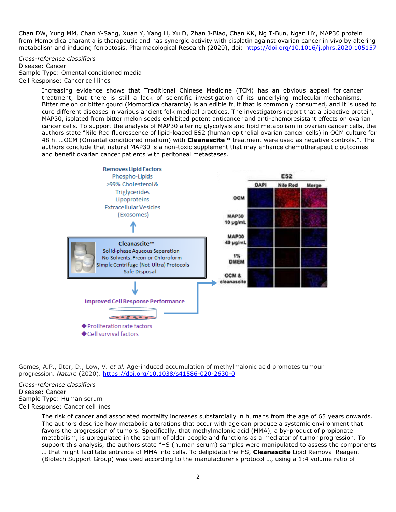Chan DW, Yung MM, Chan Y-Sang, Xuan Y, Yang H, Xu D, Zhan J-Biao, Chan KK, Ng T-Bun, Ngan HY, MAP30 protein from Momordica charantia is therapeutic and has synergic activity with cisplatin against ovarian cancer in vivo by altering metabolism and inducing ferroptosis, Pharmacological Research (2020), doi:<https://doi.org/10.1016/j.phrs.2020.105157>

*Cross-reference classifiers* Disease: Cancer Sample Type: Omental conditioned media Cell Response: Cancer cell lines

> Increasing evidence shows that Traditional Chinese Medicine (TCM) has an obvious appeal for cancer treatment, but there is still a lack of scientific investigation of its underlying molecular mechanisms. Bitter melon or bitter gourd (Momordica charantia) is an edible fruit that is commonly consumed, and it is used to cure different diseases in various ancient folk medical practices. The investigators report that a bioactive protein, MAP30, isolated from bitter melon seeds exhibited potent anticancer and anti-chemoresistant effects on ovarian cancer cells. To support the analysis of MAP30 altering glycolysis and lipid metabolism in ovarian cancer cells, the authors state "Nile Red fluorescence of lipid-loaded ES2 (human epithelial ovarian cancer cells) in OCM culture for 48 h. …OCM (Omental conditioned medium) with **Cleanascite™** treatment were used as negative controls.". The authors conclude that natural MAP30 is a non-toxic supplement that may enhance chemotherapeutic outcomes and benefit ovarian cancer patients with peritoneal metastases.



Gomes, A.P., Ilter, D., Low, V. *et al.* Age-induced accumulation of methylmalonic acid promotes tumour progression. *Nature* (2020).<https://doi.org/10.1038/s41586-020-2630-0>

*Cross-reference classifiers* Disease: Cancer Sample Type: Human serum Cell Response: Cancer cell lines

> The risk of cancer and associated mortality increases substantially in humans from the age of 65 years onwards. The authors describe how metabolic alterations that occur with age can produce a systemic environment that favors the progression of tumors. Specifically, that methylmalonic acid (MMA), a by-product of propionate metabolism, is upregulated in the serum of older people and functions as a mediator of tumor progression. To support this analysis, the authors state "HS (human serum) samples were manipulated to assess the components

… that might facilitate entrance of MMA into cells. To delipidate the HS, **Cleanascite** Lipid Removal Reagent (Biotech Support Group) was used according to the manufacturer's protocol …, using a 1:4 volume ratio of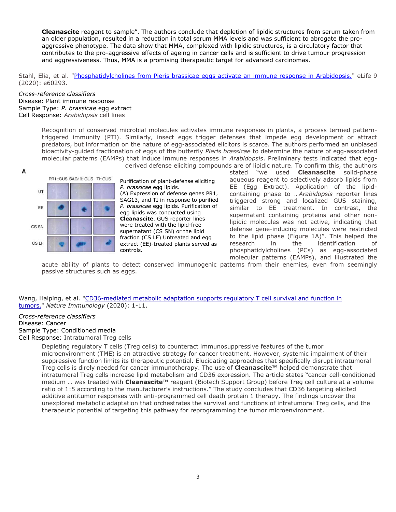**Cleanascite** reagent to sample". The authors conclude that depletion of lipidic structures from serum taken from an older population, resulted in a reduction in total serum MMA levels and was sufficient to abrogate the proaggressive phenotype. The data show that MMA, complexed with lipidic structures, is a circulatory factor that contributes to the pro-aggressive effects of ageing in cancer cells and is sufficient to drive tumour progression and aggressiveness. Thus, MMA is a promising therapeutic target for advanced carcinomas.

Stahl, Elia, et al. ["Phosphatidylcholines from Pieris brassicae eggs activate an immune response in Arabidopsis."](https://elifesciences.org/articles/60293) eLife 9 (2020): e60293.

#### *Cross-reference classifiers* Disease: Plant immune response Sample Type: *P. brassicae* egg extract Cell Response: *Arabidopsis* cell lines

Recognition of conserved microbial molecules activates immune responses in plants, a process termed patterntriggered immunity (PTI). Similarly, insect eggs trigger defenses that impede egg development or attract predators, but information on the nature of egg-associated elicitors is scarce. The authors performed an unbiased bioactivity-guided fractionation of eggs of the butterfly *Pieris brassicae* to determine the nature of egg-associated molecular patterns (EAMPs) that induce immune responses in *Arabidopsis*. Preliminary tests indicated that eggderived defense eliciting compounds are of lipidic nature. To confirm this, the authors



Purification of plant-defense eliciting *P. brassicae* egg lipids. (A) Expression of defense genes PR1, SAG13, and TI in response to purified *P. brassicae* egg lipids. Purification of egg lipids was conducted using **Cleanascite**. GUS reporter lines were treated with the lipid-free supernatant (CS SN) or the lipid fraction (CS LF) Untreated and egg extract (EE)-treated plants served as controls.

stated "we used **Cleanascite** solid-phase aqueous reagent to selectively adsorb lipids from EE (Egg Extract). Application of the lipidcontaining phase to …*Arabidopsis* reporter lines triggered strong and localized GUS staining, similar to EE treatment. In contrast, the supernatant containing proteins and other nonlipidic molecules was not active, indicating that defense gene-inducing molecules were restricted to the lipid phase (Figure 1A)". This helped the research in the identification of phosphatidylcholines (PCs) as egg-associated molecular patterns (EAMPs), and illustrated the

acute ability of plants to detect conserved immunogenic patterns from their enemies, even from seemingly passive structures such as eggs.

Wang, Haiping, et al. ["CD36-mediated metabolic adaptation supports regulatory T cell survival and function in](https://www.nature.com/articles/s41590-019-0589-5)  [tumors."](https://www.nature.com/articles/s41590-019-0589-5) *Nature Immunology* (2020): 1-11.

#### *Cross-reference classifiers*

Disease: Cancer Sample Type: Conditioned media Cell Response: Intratumoral Treg cells

> Depleting regulatory T cells (Treg cells) to counteract immunosuppressive features of the tumor microenvironment (TME) is an attractive strategy for cancer treatment. However, systemic impairment of their suppressive function limits its therapeutic potential. Elucidating approaches that specifically disrupt intratumoral Treg cells is direly needed for cancer immunotherapy. The use of **Cleanascite™** helped demonstrate that intratumoral Treg cells increase lipid metabolism and CD36 expression. The article states "cancer cell-conditioned medium … was treated with **Cleanascite™** reagent (Biotech Support Group) before Treg cell culture at a volume ratio of 1:5 according to the manufacturer's instructions." The study concludes that CD36 targeting elicited additive antitumor responses with anti-programmed cell death protein 1 therapy. The findings uncover the unexplored metabolic adaptation that orchestrates the survival and functions of intratumoral Treg cells, and the therapeutic potential of targeting this pathway for reprogramming the tumor microenvironment.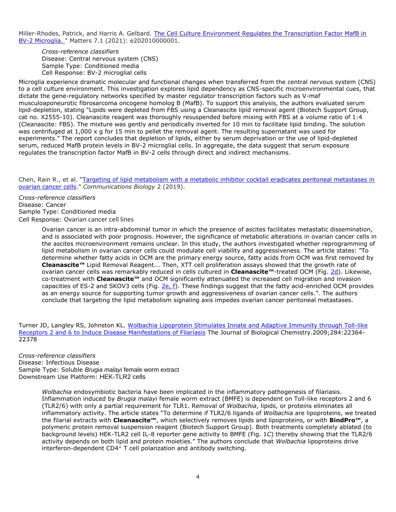Miller-Rhodes, Patrick, and Harris A. Gelbard. The Cell Culture Environment Regulates the Transcription Factor MafB in [BV-2 Microglia.](https://sciencematters.io/articles/202010000001) " Matters 7.1 (2021): e202010000001.

*Cross-reference classifiers* Disease: Central nervous system (CNS) Sample Type: Conditioned media Cell Response: BV-2 microglial cells

Microglia experience dramatic molecular and functional changes when transferred from the central nervous system (CNS) to a cell culture environment. This investigation explores lipid dependency as CNS-specific microenvironmental cues, that dictate the gene-regulatory networks specified by master regulator transcription factors such as V-maf musculoaponeurotic fibrosarcoma oncogene homolog B (MafB). To support this analysis, the authors evaluated serum lipid-depletion, stating "Lipids were depleted from FBS using a Cleanascite lipid removal agent (Biotech Support Group, cat no. X2555-10). Cleanascite reagent was thoroughly resuspended before mixing with FBS at a volume ratio of 1:4 (Cleanascite: FBS). The mixture was gently and periodically inverted for 10 min to facilitate lipid binding. The solution was centrifuged at 1,000 x g for 15 min to pellet the removal agent. The resulting supernatant was used for experiments." The report concludes that depletion of lipids, either by serum deprivation or the use of lipid-depleted serum, reduced MafB protein levels in BV-2 microglial cells. In aggregate, the data suggest that serum exposure regulates the transcription factor MafB in BV-2 cells through direct and indirect mechanisms.

Chen, Rain R., et al. "Targeting of lipid metabolism with a metabolic inhibitor cocktail eradicates peritoneal metastases in [ovarian cancer cells.](https://www.ncbi.nlm.nih.gov/pmc/articles/PMC6668395/#MOESM1)" *Communications Biology* 2 (2019).

*Cross-reference classifiers* Disease: Cancer Sample Type: Conditioned media Cell Response: Ovarian cancer cell lines

> Ovarian cancer is an intra-abdominal tumor in which the presence of ascites facilitates metastatic dissemination, and is associated with poor prognosis. However, the significance of metabolic alterations in ovarian cancer cells in the ascites microenvironment remains unclear. In this study, the authors investigated whether reprogramming of lipid metabolism in ovarian cancer cells could modulate cell viability and aggressiveness. The article states: "To determine whether fatty acids in OCM are the primary energy source, fatty acids from OCM was first removed by **Cleanascite™** Lipid Removal Reagent... Then, XTT cell proliferation assays showed that the growth rate of ovarian cancer cells was remarkably reduced in cells cultured in **Cleanascite™**-treated OCM (Fig. [2d\)](https://www.ncbi.nlm.nih.gov/pmc/articles/PMC6668395/figure/Fig2/). Likewise, co-treatment with **Cleanascite™** and OCM significantly attenuated the increased cell migration and invasion capacities of ES-2 and SKOV3 cells (Fig. [2e, f\)](https://www.ncbi.nlm.nih.gov/pmc/articles/PMC6668395/figure/Fig2/). These findings suggest that the fatty acid-enriched OCM provides as an energy source for supporting tumor growth and aggressiveness of ovarian cancer cells.". The authors conclude that targeting the lipid metabolism signaling axis impedes ovarian cancer peritoneal metastases.

Turner JD, Langley RS, Johnston KL. [Wolbachia Lipoprotein Stimulates Innate and Adaptive Immunity through Toll-like](http://www.jbc.org/content/284/33/22364.full)  [Receptors 2 and 6 to Induce Disease Manifestations of Filariasis](http://www.jbc.org/content/284/33/22364.full) The Journal of Biological Chemistry.2009;284:22364- 22378

*Cross-reference classifiers* Disease: Infectious Disease Sample Type: Soluble *Brugia malayi* female worm extract Downstream Use Platform: HEK-TLR2 cells

> *Wolbachia* endosymbiotic bacteria have been implicated in the inflammatory pathogenesis of filariasis. Inflammation induced by *Brugia malayi* female worm extract (BMFE) is dependent on Toll-like receptors 2 and 6 (TLR2/6) with only a partial requirement for TLR1. Removal of *Wolbachia*, lipids, or proteins eliminates all inflammatory activity. The article states "To determine if TLR2/6 ligands of *Wolbachia* are lipoproteins, we treated the filarial extracts with **Cleanascite™**, which selectively removes lipids and lipoproteins, or with **BindPro™**, a polymeric protein removal suspension reagent (Biotech Support Group). Both treatments completely ablated (to background levels) HEK-TLR2 cell IL-8 reporter gene activity to BMFE (Fig. 1*C*) thereby showing that the TLR2/6 activity depends on both lipid and protein moieties." The authors conclude that *Wolbachia* lipoproteins drive interferon-dependent CD4<sup>+</sup> T cell polarization and antibody switching.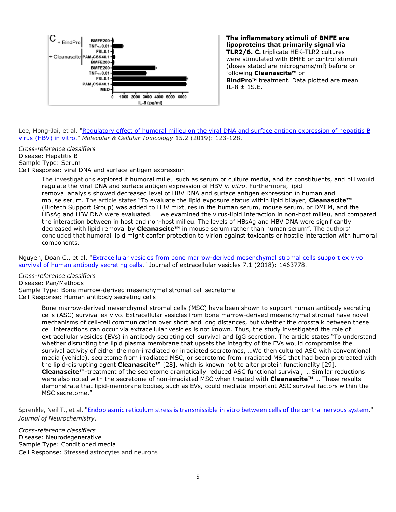

**The inflammatory stimuli of BMFE are lipoproteins that primarily signal via TLR2/6. C.** triplicate HEK-TLR2 cultures were stimulated with BMFE or control stimuli (doses stated are micrograms/ml) before or following **Cleanascite**™ or **BindProTM** treatment. Data plotted are mean  $I1 - 8 \pm 1$ S.E.

Lee, Hong-Jai, et al. "Regulatory effect of humoral milieu on the viral DNA and surface antigen expression of hepatitis B [virus \(HBV\) in vitro."](https://link.springer.com/article/10.1007/s13273-019-0015-y) *Molecular & Cellular Toxicology* 15.2 (2019): 123-128.

*Cross-reference classifiers* Disease: Hepatitis B Sample Type: Serum Cell Response: viral DNA and surface antigen expression

> The investigations explored if humoral milieu such as serum or culture media, and its constituents, and pH would regulate the viral DNA and surface antigen expression of HBV *in vitro*. Furthermore, lipid removal analysis showed decreased level of HBV DNA and surface antigen expression in human and mouse serum. The article states "To evaluate the lipid exposure status within lipid bilayer, **Cleanascite™** (Biotech Support Group) was added to HBV mixtures in the human serum, mouse serum, or DMEM, and the HBsAg and HBV DNA were evaluated. … we examined the virus-lipid interaction in non-host milieu, and compared the interaction between in host and non-host milieu. The levels of HBsAg and HBV DNA were significantly decreased with lipid removal by **Cleanascite™** in mouse serum rather than human serum". The authors' concluded that humoral lipid might confer protection to virion against toxicants or hostile interaction with humoral components.

Nguyen, Doan C., et al. ["Extracellular vesicles from bone marrow-derived mesenchymal stromal cells support ex vivo](https://www.tandfonline.com/doi/pdf/10.1080/20013078.2018.1463778?needAccess=true&)  [survival of human antibody secreting cells.](https://www.tandfonline.com/doi/pdf/10.1080/20013078.2018.1463778?needAccess=true&)" Journal of extracellular vesicles 7.1 (2018): 1463778.

*Cross-reference classifiers* Disease: Pan/Methods Sample Type: Bone marrow-derived mesenchymal stromal cell secretome Cell Response: Human antibody secreting cells

> Bone marrow-derived mesenchymal stromal cells (MSC) have been shown to support human antibody secreting cells (ASC) survival ex vivo. Extracellular vesicles from bone marrow-derived mesenchymal stromal have novel mechanisms of cell-cell communication over short and long distances, but whether the crosstalk between these cell interactions can occur via extracellular vesicles is not known. Thus, the study investigated the role of extracellular vesicles (EVs) in antibody secreting cell survival and IgG secretion. The article states "To understand whether disrupting the lipid plasma membrane that upsets the integrity of the EVs would compromise the survival activity of either the non-irradiated or irradiated secretomes, …We then cultured ASC with conventional media (vehicle), secretome from irradiated MSC, or secretome from irradiated MSC that had been pretreated with the lipid-disrupting agent **Cleanascite™** [28], which is known not to alter protein functionality [29]. **Cleanascite™**-treatment of the secretome dramatically reduced ASC functional survival, … Similar reductions were also noted with the secretome of non-irradiated MSC when treated with **Cleanascite™** … These results demonstrate that lipid-membrane bodies, such as EVs, could mediate important ASC survival factors within the MSC secretome."

Sprenkle, Neil T., et al. ["Endoplasmic reticulum stress is transmissible in vitro between cells of the central nervous system.](https://onlinelibrary.wiley.com/doi/abs/10.1111/jnc.14642)" *Journal of Neurochemistry*.

*Cross-reference classifiers* Disease: Neurodegenerative Sample Type: Conditioned media Cell Response: Stressed astrocytes and neurons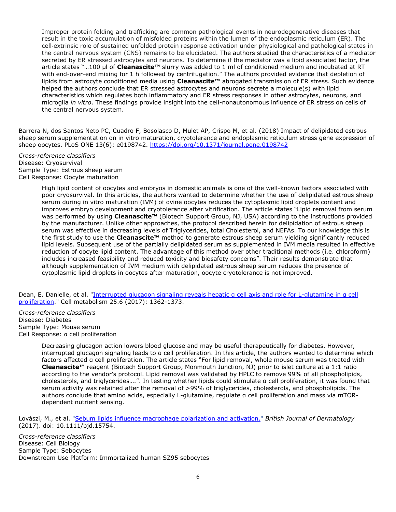Improper protein folding and trafficking are common pathological events in neurodegenerative diseases that result in the toxic accumulation of misfolded proteins within the lumen of the endoplasmic reticulum (ER). The cell‐extrinsic role of sustained unfolded protein response activation under physiological and pathological states in the central nervous system (CNS) remains to be elucidated. The authors studied the characteristics of a mediator secreted by ER stressed astrocytes and neurons. To determine if the mediator was a lipid associated factor, the article states "…100 μl of **Cleanascite™** slurry was added to 1 ml of conditioned medium and incubated at RT with end-over-end mixing for 1 h followed by centrifugation." The authors provided evidence that depletion of lipids from astrocyte conditioned media using **Cleanascite™** abrogated transmission of ER stress. Such evidence helped the authors conclude that ER stressed astrocytes and neurons secrete a molecule(s) with lipid characteristics which regulates both inflammatory and ER stress responses in other astrocytes, neurons, and microglia *in vitro*. These findings provide insight into the cell-nonautonomous influence of ER stress on cells of the central nervous system.

Barrera N, dos Santos Neto PC, Cuadro F, Bosolasco D, Mulet AP, Crispo M, et al. (2018) Impact of delipidated estrous sheep serum supplementation on in vitro maturation, cryotolerance and endoplasmic reticulum stress gene expression of sheep oocytes. PLoS ONE 13(6): e0198742.<https://doi.org/10.1371/journal.pone.0198742>

*Cross-reference classifiers* Disease: Cryosurvival Sample Type: Estrous sheep serum Cell Response: Oocyte maturation

> High lipid content of oocytes and embryos in domestic animals is one of the well-known factors associated with poor cryosurvival. In this articles, the authors wanted to determine whether the use of delipidated estrous sheep serum during in vitro maturation (IVM) of ovine oocytes reduces the cytoplasmic lipid droplets content and improves embryo development and cryotolerance after vitrification. The article states "Lipid removal from serum was performed by using **Cleanascite™** (Biotech Support Group, NJ, USA) according to the instructions provided by the manufacturer. Unlike other approaches, the protocol described herein for delipidation of estrous sheep serum was effective in decreasing levels of Triglycerides, total Cholesterol, and NEFAs. To our knowledge this is the first study to use the **Cleanascite™** method to generate estrous sheep serum yielding significantly reduced lipid levels. Subsequent use of the partially delipidated serum as supplemented in IVM media resulted in effective reduction of oocyte lipid content. The advantage of this method over other traditional methods (i.e. chloroform) includes increased feasibility and reduced toxicity and biosafety concerns". Their results demonstrate that although supplementation of IVM medium with delipidated estrous sheep serum reduces the presence of cytoplasmic lipid droplets in oocytes after maturation, oocyte cryotolerance is not improved.

Dean, E. Danielle, et al. "Interrupted glucagon signal[ing reveals hepatic α cell axis and role for L](https://www.sciencedirect.com/science/article/pii/S1550413117303005)-glutamine in α cell [proliferation.](https://www.sciencedirect.com/science/article/pii/S1550413117303005)" Cell metabolism 25.6 (2017): 1362-1373.

*Cross-reference classifiers* Disease: Diabetes Sample Type: Mouse serum Cell Response: ɑ cell proliferation

> Decreasing glucagon action lowers blood glucose and may be useful therapeutically for diabetes. However, interrupted glucagon signaling leads to α cell proliferation. In this article, the authors wanted to determine which factors affected α cell proliferation. The article states "For lipid removal, whole mouse serum was treated with **Cleanascite™** reagent (Biotech Support Group, Monmouth Junction, NJ) prior to islet culture at a 1:1 ratio according to the vendor's protocol. Lipid removal was validated by HPLC to remove 99% of all phospholipids, cholesterols, and triglycerides….". In testing whether lipids could stimulate α cell proliferation, it was found that serum activity was retained after the removal of >99% of triglycerides, cholesterols, and phospholipids. The authors conclude that amino acids, especially L-glutamine, regulate α cell proliferation and mass via mTORdependent nutrient sensing.

Lovászi, M., et al. ["Sebum lipids influence macrophage polarization and activation."](http://onlinelibrary.wiley.com/doi/10.1111/bjd.15754/full) *British Journal of Dermatology* (2017). doi: 10.1111/bjd.15754.

*Cross-reference classifiers* Disease: Cell Biology Sample Type: Sebocytes Downstream Use Platform: Immortalized human SZ95 sebocytes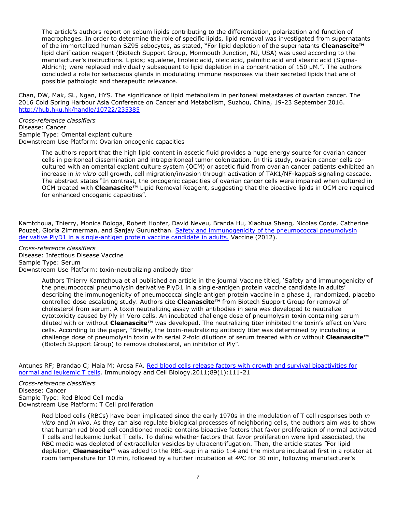The article's authors report on sebum lipids contributing to the differentiation, polarization and function of macrophages. In order to determine the role of specific lipids, lipid removal was investigated from supernatants of the immortalized human SZ95 sebocytes, as stated, "For lipid depletion of the supernatants **Cleanascite™** lipid clarification reagent (Biotech Support Group, Monmouth Junction, NJ, USA) was used according to the manufacturer's instructions. Lipids; squalene, linoleic acid, oleic acid, palmitic acid and stearic acid (Sigma-Aldrich); were replaced individually subsequent to lipid depletion in a concentration of 150 μM.". The authors concluded a role for sebaceous glands in modulating immune responses via their secreted lipids that are of possible pathologic and therapeutic relevance.

Chan, DW, Mak, SL, Ngan, HYS. The significance of lipid metabolism in peritoneal metastases of ovarian cancer. The 2016 Cold Spring Harbour Asia Conference on Cancer and Metabolism, Suzhou, China, 19-23 September 2016. <http://hub.hku.hk/handle/10722/235385>

#### *Cross-reference classifiers* Disease: Cancer Sample Type: Omental explant culture Downstream Use Platform: Ovarian oncogenic capacities

The authors report that the high lipid content in ascetic fluid provides a huge energy source for ovarian cancer cells in peritoneal dissemination and intraperitoneal tumor colonization. In this study, ovarian cancer cells cocultured with an omental explant culture system (OCM) or ascetic fluid from ovarian cancer patients exhibited an increase in *in vitro* cell growth, cell migration/invasion through activation of TAK1/NF-kappaB signaling cascade. The abstract states "In contrast, the oncogenic capacities of ovarian cancer cells were impaired when cultured in OCM treated with **Cleanascite™** Lipid Removal Reagent, suggesting that the bioactive lipids in OCM are required for enhanced oncogenic capacities".

Kamtchoua, Thierry, Monica Bologa, Robert Hopfer, David Neveu, Branda Hu, Xiaohua Sheng, Nicolas Corde, Catherine Pouzet, Gloria Zimmerman, and Sanjay Gurunathan. [Safety and immunogenicity of the pneumococcal pneumolysin](http://www.sciencedirect.com/science/article/pii/S0264410X12015988)  [derivative PlyD1 in a single-antigen protein vaccine candidate in adults.](http://www.sciencedirect.com/science/article/pii/S0264410X12015988) Vaccine (2012).

*Cross-reference classifiers* Disease: Infectious Disease Vaccine Sample Type: Serum Downstream Use Platform: toxin-neutralizing antibody titer

> Authors Thierry Kamtchoua et al published an article in the journal Vaccine titled, 'Safety and immunogenicity of the pneumococcal pneumolysin derivative PlyD1 in a single-antigen protein vaccine candidate in adults' describing the immunogenicity of pneumococcal single antigen protein vaccine in a phase 1, randomized, placebo controlled dose escalating study. Authors cite **Cleanascite™** from Biotech Support Group for removal of cholesterol from serum. A toxin neutralizing assay with antibodies in sera was developed to neutralize cytotoxicity caused by Ply in Vero cells. An incubated challenge dose of pneumolysin toxin containing serum diluted with or without **Cleanascite™** was developed. The neutralizing titer inhibited the toxin's effect on Vero cells. According to the paper, "Briefly, the toxin-neutralizing antibody titer was determined by incubating a challenge dose of pneumolysin toxin with serial 2-fold dilutions of serum treated with or without **Cleanascite™** (Biotech Support Group) to remove cholesterol, an inhibitor of Ply".

Antunes RF; Brandao C; Maia M; Arosa FA. [Red blood cells release factors with growth and survival bioactivities for](http://www.nature.com/icb/journal/vaop/ncurrent/full/icb201060a.html)  [normal and leukemic T cells.](http://www.nature.com/icb/journal/vaop/ncurrent/full/icb201060a.html) Immunology and Cell Biology.2011;89(1):111-21

*Cross-reference classifiers* Disease: Cancer Sample Type: Red Blood Cell media Downstream Use Platform: T Cell proliferation

> Red blood cells (RBCs) have been implicated since the early 1970s in the modulation of T cell responses both *in vitro* and *in vivo*. As they can also regulate biological processes of neighboring cells, the authors aim was to show that human red blood cell conditioned media contains bioactive factors that favor proliferation of normal activated T cells and leukemic Jurkat T cells. To define whether factors that favor proliferation were lipid associated, the RBC media was depleted of extracellular vesicles by ultracentrifugation. Then, the article states "For lipid depletion, **Cleanascite™** was added to the RBC-sup in a ratio 1:4 and the mixture incubated first in a rotator at room temperature for 10 min, followed by a further incubation at 4ºC for 30 min, following manufacturer's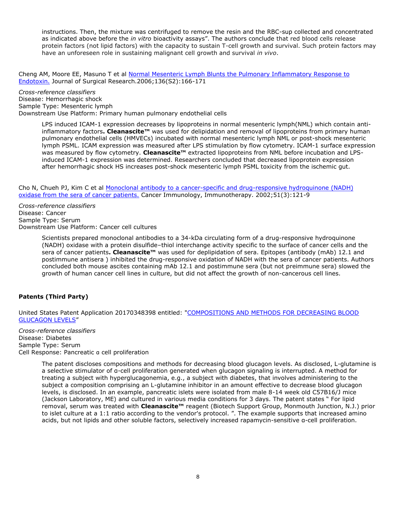instructions. Then, the mixture was centrifuged to remove the resin and the RBC-sup collected and concentrated as indicated above before the *in vitro* bioactivity assays". The authors conclude that red blood cells release protein factors (not lipid factors) with the capacity to sustain T-cell growth and survival. Such protein factors may have an unforeseen role in sustaining malignant cell growth and survival *in vivo*.

Cheng AM, Moore EE, Masuno T et al Normal Mesenteric Lymph Blunts the Pulmonary Inflammatory Response to [Endotoxin.](http://www.sciencedirect.com/science/article/pii/S0022480406002538) Journal of Surgical Research.2006;136(S2):166-171

*Cross-reference classifiers* Disease: Hemorrhagic shock Sample Type: Mesenteric lymph Downstream Use Platform: Primary human pulmonary endothelial cells

> LPS induced ICAM-1 expression decreases by lipoproteins in normal mesenteric lymph(NML) which contain antiinflammatory factors**. Cleanascite™** was used for delipidation and removal of lipoproteins from primary human pulmonary endothelial cells (HMVECs) incubated with normal mesenteric lymph NML or post-shock mesenteric lymph PSML. ICAM expression was measured after LPS stimulation by flow cytometry. ICAM-1 surface expression was measured by flow cytometry. **Cleanascite™** extracted lipoproteins from NML before incubation and LPSinduced ICAM-1 expression was determined. Researchers concluded that decreased lipoprotein expression after hemorrhagic shock HS increases post-shock mesenteric lymph PSML toxicity from the ischemic gut.

Cho N, Chueh PJ, Kim C et al [Monoclonal antibody to a cancer-specific and drug-responsive hydroquinone \(NADH\)](http://www.springerlink.com/content/92rtvqc5r1hafjfn/)  [oxidase from the sera of cancer patients.](http://www.springerlink.com/content/92rtvqc5r1hafjfn/) Cancer Immunology, Immunotherapy. 2002;51(3):121-9

*Cross-reference classifiers* Disease: Cancer Sample Type: Serum Downstream Use Platform: Cancer cell cultures

> Scientists prepared monoclonal antibodies to a 34-kDa circulating form of a drug-responsive hydroquinone (NADH) oxidase with a protein disulfide–thiol interchange activity specific to the surface of cancer cells and the sera of cancer patients**. Cleanascite™** was used for deplipidation of sera. Epitopes (antibody (mAb) 12.1 and postimmune antisera ) inhibited the drug-responsive oxidation of NADH with the sera of cancer patients. Authors concluded both mouse ascites containing mAb 12.1 and postimmune sera (but not preimmune sera) slowed the growth of human cancer cell lines in culture, but did not affect the growth of non-cancerous cell lines.

### **Patents (Third Party)**

United States Patent Application 20170348398 entitled: ["COMPOSITIONS AND METHODS FOR DECREASING BLOOD](http://www.freepatentsonline.com/y2017/0348398.html)  [GLUCAGON LEVELS](http://www.freepatentsonline.com/y2017/0348398.html)"

*Cross-reference classifiers* Disease: Diabetes Sample Type: Serum Cell Response: Pancreatic ɑ cell proliferation

> The patent discloses compositions and methods for decreasing blood glucagon levels. As disclosed, L-glutamine is a selective stimulator of α-cell proliferation generated when glucagon signaling is interrupted. A method for treating a subject with hyperglucagonemia, e.g., a subject with diabetes, that involves administering to the subject a composition comprising an L-glutamine inhibitor in an amount effective to decrease blood glucagon levels, is disclosed. In an example, pancreatic islets were isolated from male 8-14 week old C57B16/J mice (Jackson Laboratory, ME) and cultured in various media conditions for 3 days. The patent states " For lipid removal, serum was treated with **Cleanascite™** reagent (Biotech Support Group, Monmouth Junction, N.J.) prior to islet culture at a 1:1 ratio according to the vendor's protocol. ". The example supports that increased amino acids, but not lipids and other soluble factors, selectively increased rapamycin-sensitive α-cell proliferation.